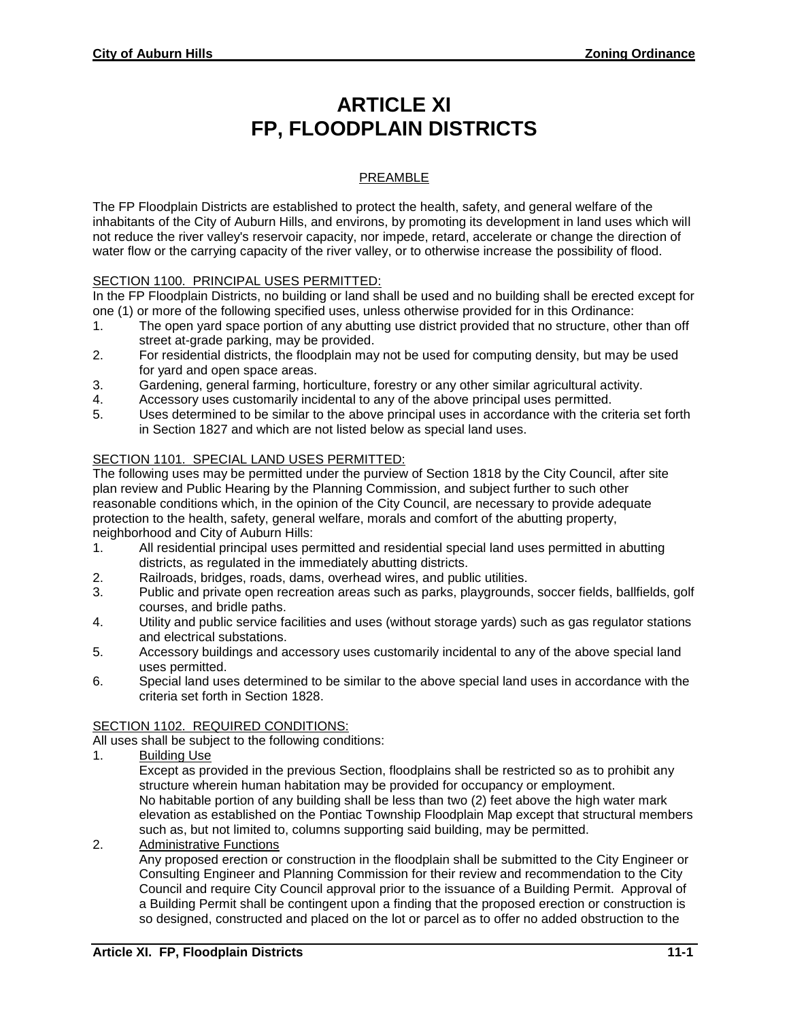# **ARTICLE XI FP, FLOODPLAIN DISTRICTS**

## PREAMBLE

The FP Floodplain Districts are established to protect the health, safety, and general welfare of the inhabitants of the City of Auburn Hills, and environs, by promoting its development in land uses which will not reduce the river valley's reservoir capacity, nor impede, retard, accelerate or change the direction of water flow or the carrying capacity of the river valley, or to otherwise increase the possibility of flood.

## SECTION 1100. PRINCIPAL USES PERMITTED:

In the FP Floodplain Districts, no building or land shall be used and no building shall be erected except for one (1) or more of the following specified uses, unless otherwise provided for in this Ordinance:

- 1. The open yard space portion of any abutting use district provided that no structure, other than off street at-grade parking, may be provided.
- 2. For residential districts, the floodplain may not be used for computing density, but may be used for yard and open space areas.
- 3. Gardening, general farming, horticulture, forestry or any other similar agricultural activity.
- 4. Accessory uses customarily incidental to any of the above principal uses permitted.
- 5. Uses determined to be similar to the above principal uses in accordance with the criteria set forth in Section 1827 and which are not listed below as special land uses.

## SECTION 1101. SPECIAL LAND USES PERMITTED:

The following uses may be permitted under the purview of Section 1818 by the City Council, after site plan review and Public Hearing by the Planning Commission, and subject further to such other reasonable conditions which, in the opinion of the City Council, are necessary to provide adequate protection to the health, safety, general welfare, morals and comfort of the abutting property, neighborhood and City of Auburn Hills:

- 1. All residential principal uses permitted and residential special land uses permitted in abutting districts, as regulated in the immediately abutting districts.
- 2. Railroads, bridges, roads, dams, overhead wires, and public utilities.
- 3. Public and private open recreation areas such as parks, playgrounds, soccer fields, ballfields, golf courses, and bridle paths.
- 4. Utility and public service facilities and uses (without storage yards) such as gas regulator stations and electrical substations.
- 5. Accessory buildings and accessory uses customarily incidental to any of the above special land uses permitted.
- 6. Special land uses determined to be similar to the above special land uses in accordance with the criteria set forth in Section 1828.

## SECTION 1102. REQUIRED CONDITIONS:

All uses shall be subject to the following conditions:

1. Building Use

Except as provided in the previous Section, floodplains shall be restricted so as to prohibit any structure wherein human habitation may be provided for occupancy or employment. No habitable portion of any building shall be less than two (2) feet above the high water mark elevation as established on the Pontiac Township Floodplain Map except that structural members such as, but not limited to, columns supporting said building, may be permitted.

2. Administrative Functions

Any proposed erection or construction in the floodplain shall be submitted to the City Engineer or Consulting Engineer and Planning Commission for their review and recommendation to the City Council and require City Council approval prior to the issuance of a Building Permit. Approval of a Building Permit shall be contingent upon a finding that the proposed erection or construction is so designed, constructed and placed on the lot or parcel as to offer no added obstruction to the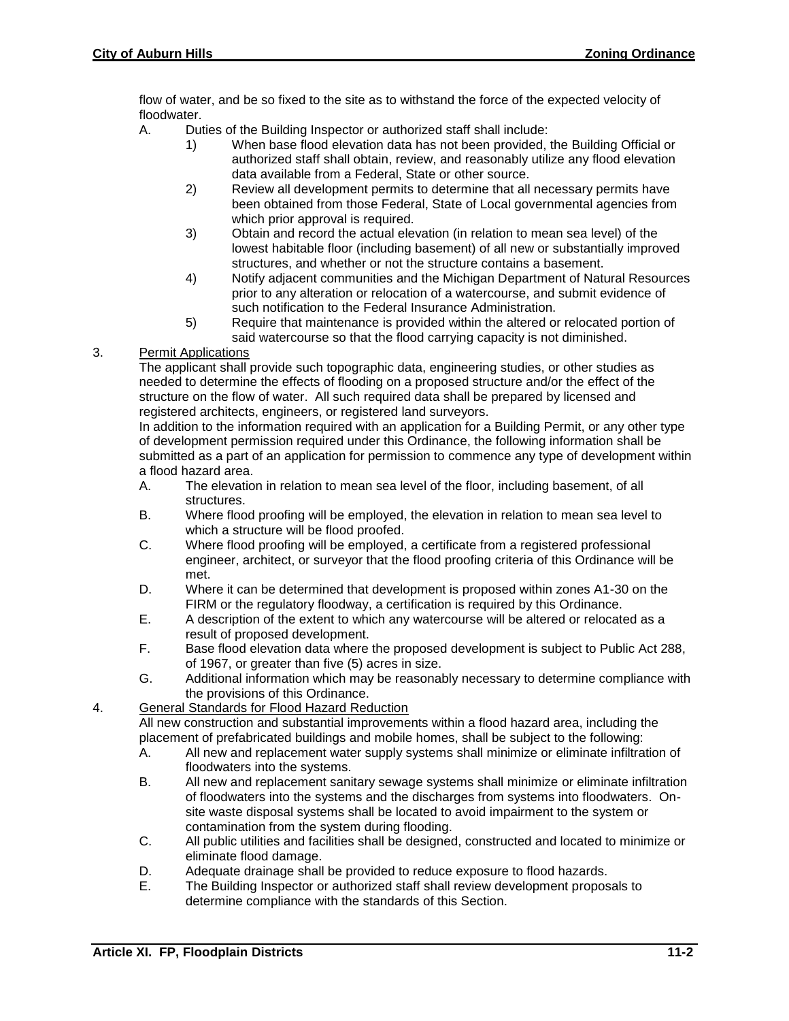flow of water, and be so fixed to the site as to withstand the force of the expected velocity of floodwater.

- A. Duties of the Building Inspector or authorized staff shall include:
	- 1) When base flood elevation data has not been provided, the Building Official or authorized staff shall obtain, review, and reasonably utilize any flood elevation data available from a Federal, State or other source.
	- 2) Review all development permits to determine that all necessary permits have been obtained from those Federal, State of Local governmental agencies from which prior approval is required.
	- 3) Obtain and record the actual elevation (in relation to mean sea level) of the lowest habitable floor (including basement) of all new or substantially improved structures, and whether or not the structure contains a basement.
	- 4) Notify adjacent communities and the Michigan Department of Natural Resources prior to any alteration or relocation of a watercourse, and submit evidence of such notification to the Federal Insurance Administration.
	- 5) Require that maintenance is provided within the altered or relocated portion of said watercourse so that the flood carrying capacity is not diminished.

#### 3. Permit Applications

The applicant shall provide such topographic data, engineering studies, or other studies as needed to determine the effects of flooding on a proposed structure and/or the effect of the structure on the flow of water. All such required data shall be prepared by licensed and registered architects, engineers, or registered land surveyors.

In addition to the information required with an application for a Building Permit, or any other type of development permission required under this Ordinance, the following information shall be submitted as a part of an application for permission to commence any type of development within a flood hazard area.

- A. The elevation in relation to mean sea level of the floor, including basement, of all **structures**
- B. Where flood proofing will be employed, the elevation in relation to mean sea level to which a structure will be flood proofed.
- C. Where flood proofing will be employed, a certificate from a registered professional engineer, architect, or surveyor that the flood proofing criteria of this Ordinance will be met.
- D. Where it can be determined that development is proposed within zones A1-30 on the FIRM or the regulatory floodway, a certification is required by this Ordinance.
- E. A description of the extent to which any watercourse will be altered or relocated as a result of proposed development.
- F. Base flood elevation data where the proposed development is subject to Public Act 288, of 1967, or greater than five (5) acres in size.
- G. Additional information which may be reasonably necessary to determine compliance with the provisions of this Ordinance.

#### 4. General Standards for Flood Hazard Reduction

All new construction and substantial improvements within a flood hazard area, including the placement of prefabricated buildings and mobile homes, shall be subject to the following:

- A. All new and replacement water supply systems shall minimize or eliminate infiltration of floodwaters into the systems.
- B. All new and replacement sanitary sewage systems shall minimize or eliminate infiltration of floodwaters into the systems and the discharges from systems into floodwaters. Onsite waste disposal systems shall be located to avoid impairment to the system or contamination from the system during flooding.
- C. All public utilities and facilities shall be designed, constructed and located to minimize or eliminate flood damage.
- D. Adequate drainage shall be provided to reduce exposure to flood hazards.
- E. The Building Inspector or authorized staff shall review development proposals to determine compliance with the standards of this Section.